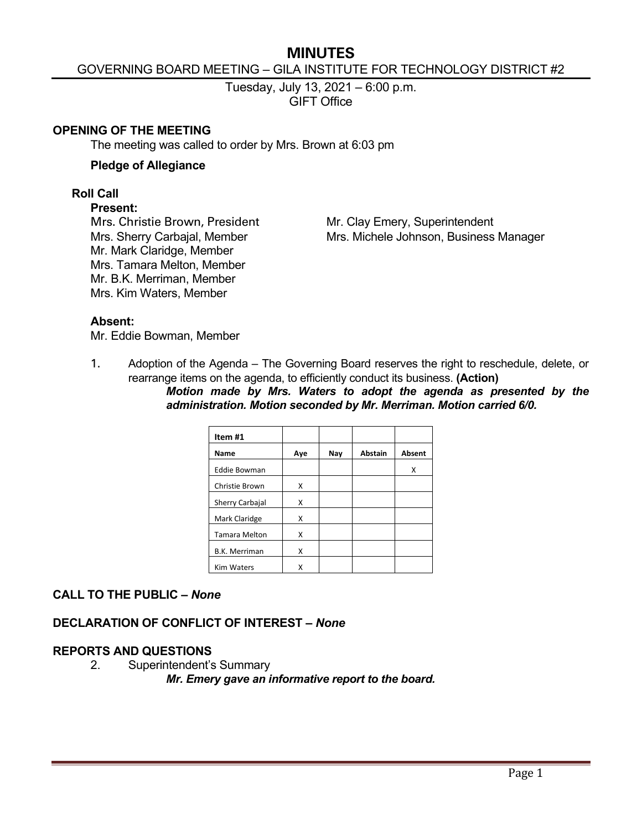# **MINUTES**

#### GOVERNING BOARD MEETING – GILA INSTITUTE FOR TECHNOLOGY DISTRICT #2

Tuesday, July 13, 2021 – 6:00 p.m. GIFT Office

#### **OPENING OF THE MEETING**

The meeting was called to order by Mrs. Brown at 6:03 pm

#### **Pledge of Allegiance**

#### **Roll Call**

#### **Present:**

Mr. Mark Claridge, Member Mrs. Tamara Melton, Member Mr. B.K. Merriman, Member Mrs. Kim Waters, Member

Mrs. Christie Brown, President Mr. Clay Emery, Superintendent Mrs. Sherry Carbajal, Member Mrs. Michele Johnson, Business Manager

#### **Absent:**

Mr. Eddie Bowman, Member

1. Adoption of the Agenda – The Governing Board reserves the right to reschedule, delete, or rearrange items on the agenda, to efficiently conduct its business. **(Action)**

*Motion made by Mrs. Waters to adopt the agenda as presented by the administration. Motion seconded by Mr. Merriman. Motion carried 6/0.*

| Item #1              |     |     |                |               |
|----------------------|-----|-----|----------------|---------------|
| Name                 | Aye | Nay | <b>Abstain</b> | <b>Absent</b> |
| <b>Eddie Bowman</b>  |     |     |                | x             |
| Christie Brown       | X   |     |                |               |
| Sherry Carbajal      | Χ   |     |                |               |
| Mark Claridge        | Χ   |     |                |               |
| <b>Tamara Melton</b> | X   |     |                |               |
| <b>B.K. Merriman</b> | X   |     |                |               |
| <b>Kim Waters</b>    | x   |     |                |               |

# **CALL TO THE PUBLIC –** *None*

# **DECLARATION OF CONFLICT OF INTEREST –** *None*

# **REPORTS AND QUESTIONS**

2. Superintendent's Summary

*Mr. Emery gave an informative report to the board.*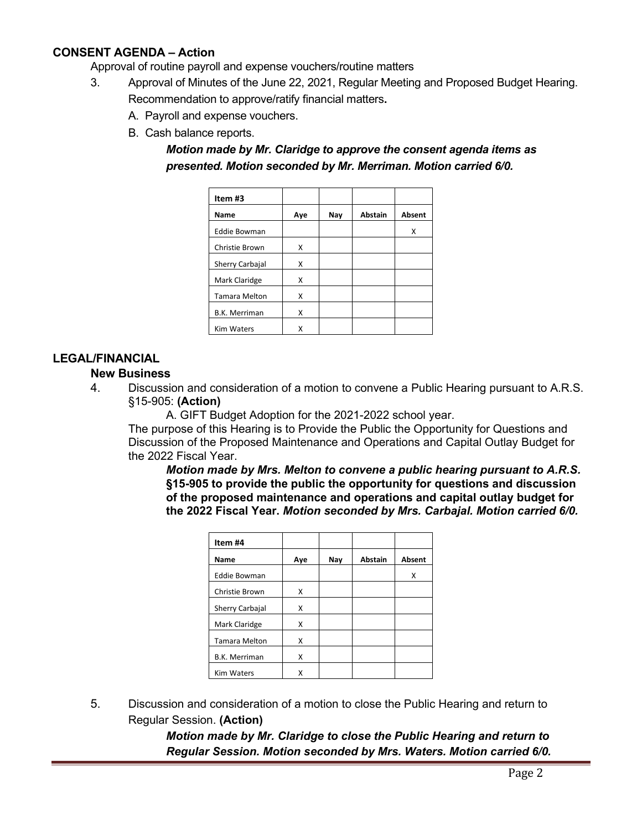# **CONSENT AGENDA – Action**

Approval of routine payroll and expense vouchers/routine matters

- 3. Approval of Minutes of the June 22, 2021, Regular Meeting and Proposed Budget Hearing. Recommendation to approve/ratify financial matters**.**
	- A. Payroll and expense vouchers.
	- B. Cash balance reports.

*Motion made by Mr. Claridge to approve the consent agenda items as presented. Motion seconded by Mr. Merriman. Motion carried 6/0.*

| Item #3              |     |     |                |               |
|----------------------|-----|-----|----------------|---------------|
| Name                 | Aye | Nay | <b>Abstain</b> | <b>Absent</b> |
| <b>Eddie Bowman</b>  |     |     |                | x             |
| Christie Brown       | X   |     |                |               |
| Sherry Carbajal      | X   |     |                |               |
| Mark Claridge        | X   |     |                |               |
| <b>Tamara Melton</b> | X   |     |                |               |
| <b>B.K. Merriman</b> | x   |     |                |               |
| <b>Kim Waters</b>    | Χ   |     |                |               |

# **LEGAL/FINANCIAL**

#### **New Business**

4. Discussion and consideration of a motion to convene a Public Hearing pursuant to A.R.S. §15-905: **(Action)**

A. GIFT Budget Adoption for the 2021-2022 school year.

The purpose of this Hearing is to Provide the Public the Opportunity for Questions and Discussion of the Proposed Maintenance and Operations and Capital Outlay Budget for the 2022 Fiscal Year.

*Motion made by Mrs. Melton to convene a public hearing pursuant to A.R.S.*  **§15-905 to provide the public the opportunity for questions and discussion of the proposed maintenance and operations and capital outlay budget for the 2022 Fiscal Year.** *Motion seconded by Mrs. Carbajal. Motion carried 6/0.*

| Item #4              |     |     |                |        |
|----------------------|-----|-----|----------------|--------|
| Name                 | Ave | Nay | <b>Abstain</b> | Absent |
| <b>Eddie Bowman</b>  |     |     |                | Χ      |
| Christie Brown       | X   |     |                |        |
| Sherry Carbajal      | Χ   |     |                |        |
| Mark Claridge        | X   |     |                |        |
| <b>Tamara Melton</b> | Χ   |     |                |        |
| <b>B.K. Merriman</b> | X   |     |                |        |
| <b>Kim Waters</b>    | x   |     |                |        |

5. Discussion and consideration of a motion to close the Public Hearing and return to Regular Session. **(Action)**

> *Motion made by Mr. Claridge to close the Public Hearing and return to Regular Session. Motion seconded by Mrs. Waters. Motion carried 6/0.*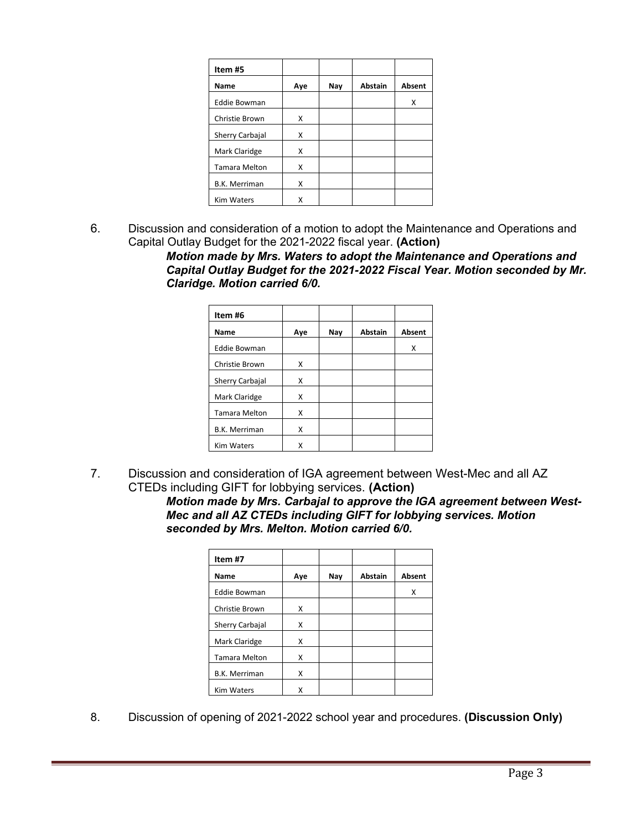| Item #5              |     |     |                |        |
|----------------------|-----|-----|----------------|--------|
| Name                 | Aye | Nay | <b>Abstain</b> | Absent |
| <b>Eddie Bowman</b>  |     |     |                | x      |
| Christie Brown       | X   |     |                |        |
| Sherry Carbajal      | Χ   |     |                |        |
| Mark Claridge        | X   |     |                |        |
| <b>Tamara Melton</b> | x   |     |                |        |
| <b>B.K. Merriman</b> | Χ   |     |                |        |
| <b>Kim Waters</b>    | Χ   |     |                |        |

6. Discussion and consideration of a motion to adopt the Maintenance and Operations and Capital Outlay Budget for the 2021-2022 fiscal year. **(Action)**

> *Motion made by Mrs. Waters to adopt the Maintenance and Operations and Capital Outlay Budget for the 2021-2022 Fiscal Year. Motion seconded by Mr. Claridge. Motion carried 6/0.*

| Item #6              |     |     |                |               |
|----------------------|-----|-----|----------------|---------------|
| Name                 | Aye | Nay | <b>Abstain</b> | <b>Absent</b> |
| <b>Eddie Bowman</b>  |     |     |                | x             |
| Christie Brown       | X   |     |                |               |
| Sherry Carbajal      | X   |     |                |               |
| Mark Claridge        | X   |     |                |               |
| <b>Tamara Melton</b> | X   |     |                |               |
| <b>B.K. Merriman</b> | X   |     |                |               |
| <b>Kim Waters</b>    | x   |     |                |               |

7. Discussion and consideration of IGA agreement between West-Mec and all AZ CTEDs including GIFT for lobbying services. **(Action)**

*Motion made by Mrs. Carbajal to approve the IGA agreement between West-Mec and all AZ CTEDs including GIFT for lobbying services. Motion seconded by Mrs. Melton. Motion carried 6/0.*

| Item #7              |     |     |                |               |
|----------------------|-----|-----|----------------|---------------|
| Name                 | Aye | Nay | <b>Abstain</b> | <b>Absent</b> |
| <b>Eddie Bowman</b>  |     |     |                | Χ             |
| Christie Brown       | x   |     |                |               |
| Sherry Carbajal      | X   |     |                |               |
| Mark Claridge        | X   |     |                |               |
| <b>Tamara Melton</b> | x   |     |                |               |
| <b>B.K. Merriman</b> | x   |     |                |               |
| <b>Kim Waters</b>    | x   |     |                |               |

8. Discussion of opening of 2021-2022 school year and procedures. **(Discussion Only)**